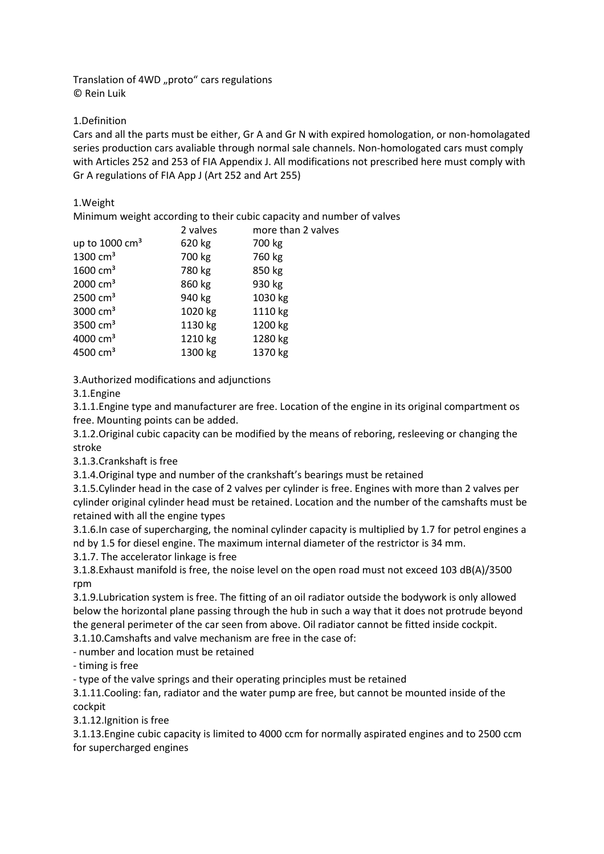Translation of 4WD "proto" cars regulations © Rein Luik

## 1.Definition

Cars and all the parts must be either, Gr A and Gr N with expired homologation, or non-homolagated series production cars avaliable through normal sale channels. Non-homologated cars must comply with Articles 252 and 253 of FIA Appendix J. All modifications not prescribed here must comply with Gr A regulations of FIA App J (Art 252 and Art 255)

## 1.Weight

Minimum weight according to their cubic capacity and number of valves

|                           | 2 valves | more than 2 valves |
|---------------------------|----------|--------------------|
| up to $1000 \text{ cm}^3$ | 620 kg   | 700 kg             |
| 1300 cm <sup>3</sup>      | 700 kg   | 760 kg             |
| $1600 \text{ cm}^3$       | 780 kg   | 850 kg             |
| $2000 \text{ cm}^3$       | 860 kg   | 930 kg             |
| $2500 \text{ cm}^3$       | 940 kg   | 1030 kg            |
| 3000 cm <sup>3</sup>      | 1020 kg  | 1110 kg            |
| 3500 cm <sup>3</sup>      | 1130 kg  | 1200 kg            |
| 4000 cm <sup>3</sup>      | 1210 kg  | 1280 kg            |
| 4500 cm <sup>3</sup>      | 1300 kg  | 1370 kg            |
|                           |          |                    |

3.Authorized modifications and adjunctions

3.1.Engine

3.1.1.Engine type and manufacturer are free. Location of the engine in its original compartment os free. Mounting points can be added.

3.1.2.Original cubic capacity can be modified by the means of reboring, resleeving or changing the stroke

3.1.3.Crankshaft is free

3.1.4.Original type and number of the crankshaft's bearings must be retained

3.1.5.Cylinder head in the case of 2 valves per cylinder is free. Engines with more than 2 valves per cylinder original cylinder head must be retained. Location and the number of the camshafts must be retained with all the engine types

3.1.6.In case of supercharging, the nominal cylinder capacity is multiplied by 1.7 for petrol engines a nd by 1.5 for diesel engine. The maximum internal diameter of the restrictor is 34 mm.

3.1.7. The accelerator linkage is free

3.1.8.Exhaust manifold is free, the noise level on the open road must not exceed 103 dB(A)/3500 rpm

3.1.9.Lubrication system is free. The fitting of an oil radiator outside the bodywork is only allowed below the horizontal plane passing through the hub in such a way that it does not protrude beyond the general perimeter of the car seen from above. Oil radiator cannot be fitted inside cockpit.

3.1.10.Camshafts and valve mechanism are free in the case of:

- number and location must be retained

- timing is free

- type of the valve springs and their operating principles must be retained

3.1.11.Cooling: fan, radiator and the water pump are free, but cannot be mounted inside of the cockpit

3.1.12.Ignition is free

3.1.13.Engine cubic capacity is limited to 4000 ccm for normally aspirated engines and to 2500 ccm for supercharged engines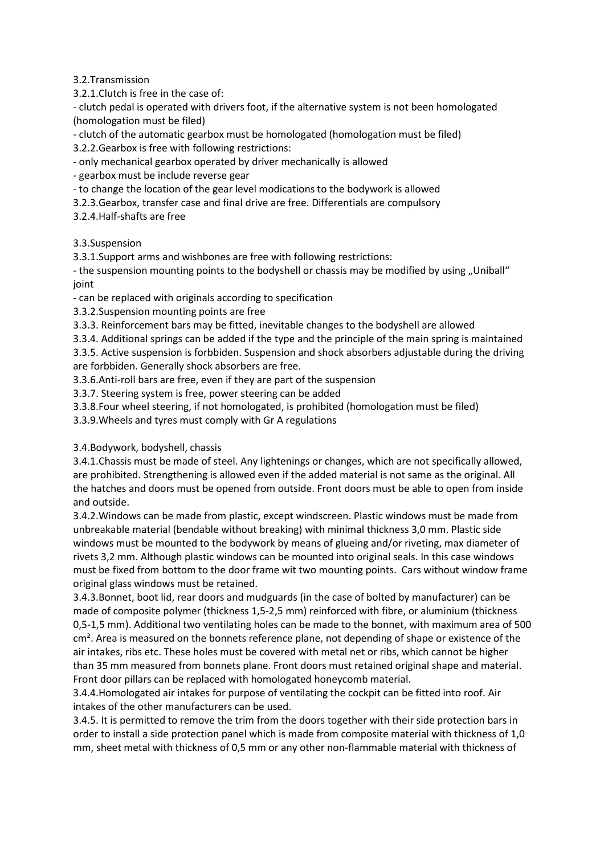3.2.Transmission

3.2.1.Clutch is free in the case of:

- clutch pedal is operated with drivers foot, if the alternative system is not been homologated (homologation must be filed)

- clutch of the automatic gearbox must be homologated (homologation must be filed)

3.2.2.Gearbox is free with following restrictions:

- only mechanical gearbox operated by driver mechanically is allowed

- gearbox must be include reverse gear

- to change the location of the gear level modications to the bodywork is allowed

3.2.3.Gearbox, transfer case and final drive are free. Differentials are compulsory

3.2.4.Half-shafts are free

3.3.Suspension

3.3.1.Support arms and wishbones are free with following restrictions:

- the suspension mounting points to the bodyshell or chassis may be modified by using "Uniball" ioint

- can be replaced with originals according to specification

3.3.2.Suspension mounting points are free

3.3.3. Reinforcement bars may be fitted, inevitable changes to the bodyshell are allowed

3.3.4. Additional springs can be added if the type and the principle of the main spring is maintained

3.3.5. Active suspension is forbbiden. Suspension and shock absorbers adjustable during the driving are forbbiden. Generally shock absorbers are free.

3.3.6.Anti-roll bars are free, even if they are part of the suspension

3.3.7. Steering system is free, power steering can be added

3.3.8.Four wheel steering, if not homologated, is prohibited (homologation must be filed)

3.3.9.Wheels and tyres must comply with Gr A regulations

## 3.4.Bodywork, bodyshell, chassis

3.4.1.Chassis must be made of steel. Any lightenings or changes, which are not specifically allowed, are prohibited. Strengthening is allowed even if the added material is not same as the original. All the hatches and doors must be opened from outside. Front doors must be able to open from inside and outside.

3.4.2.Windows can be made from plastic, except windscreen. Plastic windows must be made from unbreakable material (bendable without breaking) with minimal thickness 3,0 mm. Plastic side windows must be mounted to the bodywork by means of glueing and/or riveting, max diameter of rivets 3,2 mm. Although plastic windows can be mounted into original seals. In this case windows must be fixed from bottom to the door frame wit two mounting points. Cars without window frame original glass windows must be retained.

3.4.3.Bonnet, boot lid, rear doors and mudguards (in the case of bolted by manufacturer) can be made of composite polymer (thickness 1,5-2,5 mm) reinforced with fibre, or aluminium (thickness 0,5-1,5 mm). Additional two ventilating holes can be made to the bonnet, with maximum area of 500 cm². Area is measured on the bonnets reference plane, not depending of shape or existence of the air intakes, ribs etc. These holes must be covered with metal net or ribs, which cannot be higher than 35 mm measured from bonnets plane. Front doors must retained original shape and material. Front door pillars can be replaced with homologated honeycomb material.

3.4.4.Homologated air intakes for purpose of ventilating the cockpit can be fitted into roof. Air intakes of the other manufacturers can be used.

3.4.5. It is permitted to remove the trim from the doors together with their side protection bars in order to install a side protection panel which is made from composite material with thickness of 1,0 mm, sheet metal with thickness of 0,5 mm or any other non-flammable material with thickness of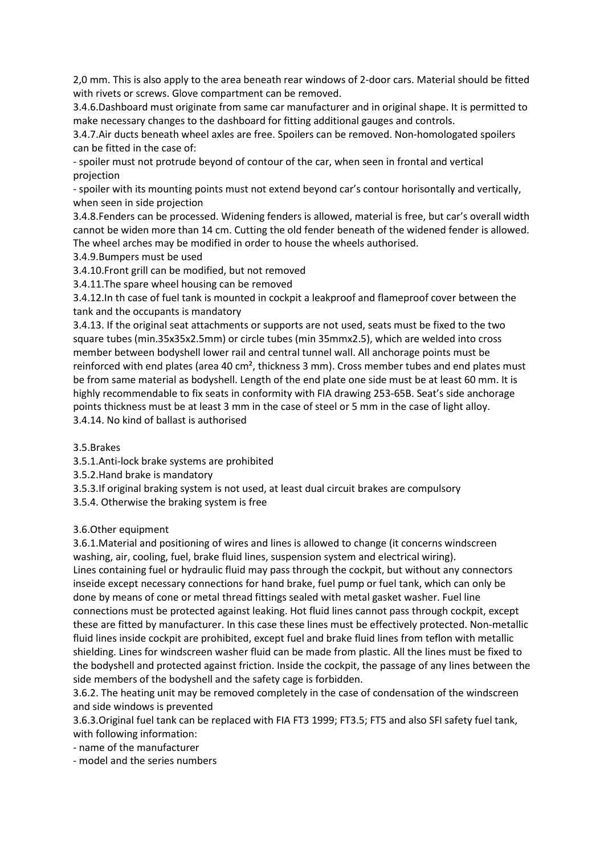2,0 mm. This is also apply to the area beneath rear windows of 2-door cars. Material should be fitted with rivets or screws. Glove compartment can be removed.

3.4.6.Dashboard must originate from same car manufacturer and in original shape. It is permitted to make necessary changes to the dashboard for fitting additional gauges and controls.

3.4.7.Air ducts beneath wheel axles are free. Spoilers can be removed. Non-homologated spoilers can be fitted in the case of:

- spoiler must not protrude beyond of contour of the car, when seen in frontal and vertical projection

- spoiler with its mounting points must not extend beyond car's contour horisontally and vertically, when seen in side projection

3.4.8.Fenders can be processed. Widening fenders is allowed, material is free, but car's overall width cannot be widen more than 14 cm. Cutting the old fender beneath of the widened fender is allowed. The wheel arches may be modified in order to house the wheels authorised.

3.4.9.Bumpers must be used

3.4.10.Front grill can be modified, but not removed

3.4.11.The spare wheel housing can be removed

3.4.12.In th case of fuel tank is mounted in cockpit a leakproof and flameproof cover between the tank and the occupants is mandatory

3.4.13. If the original seat attachments or supports are not used, seats must be fixed to the two square tubes (min.35x35x2.5mm) or circle tubes (min 35mmx2.5), which are welded into cross member between bodyshell lower rail and central tunnel wall. All anchorage points must be reinforced with end plates (area 40 cm<sup>2</sup>, thickness 3 mm). Cross member tubes and end plates must be from same material as bodyshell. Length of the end plate one side must be at least 60 mm. It is highly recommendable to fix seats in conformity with FIA drawing 253-65B. Seat's side anchorage points thickness must be at least 3 mm in the case of steel or 5 mm in the case of light alloy. 3.4.14. No kind of ballast is authorised

3.5.Brakes

3.5.1.Anti-lock brake systems are prohibited

3.5.2.Hand brake is mandatory

3.5.3.If original braking system is not used, at least dual circuit brakes are compulsory

3.5.4. Otherwise the braking system is free

3.6.Other equipment

3.6.1.Material and positioning of wires and lines is allowed to change (it concerns windscreen washing, air, cooling, fuel, brake fluid lines, suspension system and electrical wiring). Lines containing fuel or hydraulic fluid may pass through the cockpit, but without any connectors inseide except necessary connections for hand brake, fuel pump or fuel tank, which can only be done by means of cone or metal thread fittings sealed with metal gasket washer. Fuel line connections must be protected against leaking. Hot fluid lines cannot pass through cockpit, except these are fitted by manufacturer. In this case these lines must be effectively protected. Non-metallic fluid lines inside cockpit are prohibited, except fuel and brake fluid lines from teflon with metallic shielding. Lines for windscreen washer fluid can be made from plastic. All the lines must be fixed to the bodyshell and protected against friction. Inside the cockpit, the passage of any lines between the side members of the bodyshell and the safety cage is forbidden.

3.6.2. The heating unit may be removed completely in the case of condensation of the windscreen and side windows is prevented

3.6.3.Original fuel tank can be replaced with FIA FT3 1999; FT3.5; FT5 and also SFI safety fuel tank, with following information:

- name of the manufacturer

- model and the series numbers